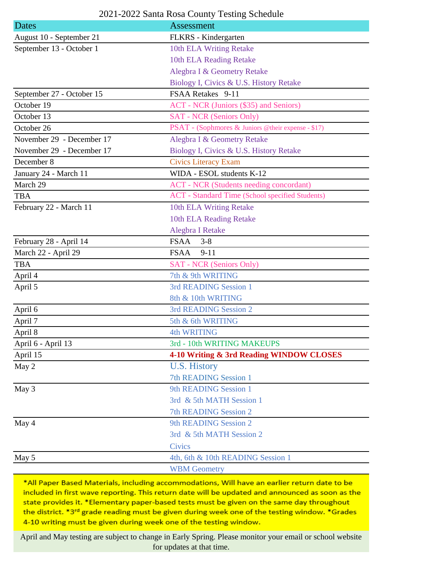## 2021-2022 Santa Rosa County Testing Schedule

| Dates                     | Assessment                                             |
|---------------------------|--------------------------------------------------------|
| August 10 - September 21  | FLKRS - Kindergarten                                   |
| September 13 - October 1  | 10th ELA Writing Retake                                |
|                           | 10th ELA Reading Retake                                |
|                           | Alegbra I & Geometry Retake                            |
|                           | Biology I, Civics & U.S. History Retake                |
| September 27 - October 15 | FSAA Retakes 9-11                                      |
| October 19                | ACT - NCR (Juniors (\$35) and Seniors)                 |
| October 13                | <b>SAT - NCR (Seniors Only)</b>                        |
| October 26                | PSAT - (Sophmores & Juniors @their expense - \$17)     |
| November 29 - December 17 | Alegbra I & Geometry Retake                            |
| November 29 - December 17 | Biology I, Civics & U.S. History Retake                |
| December 8                | <b>Civics Literacy Exam</b>                            |
| January 24 - March 11     | WIDA - ESOL students K-12                              |
| March 29                  | <b>ACT</b> - NCR (Students needing concordant)         |
| <b>TBA</b>                | <b>ACT</b> - Standard Time (School specified Students) |
| February 22 - March 11    | 10th ELA Writing Retake                                |
|                           | 10th ELA Reading Retake                                |
|                           | Alegbra I Retake                                       |
| February 28 - April 14    | <b>FSAA</b><br>$3 - 8$                                 |
| March 22 - April 29       | <b>FSAA</b><br>$9 - 11$                                |
| <b>TBA</b>                | <b>SAT - NCR (Seniors Only)</b>                        |
| April 4                   | 7th & 9th WRITING                                      |
| April 5                   | 3rd READING Session 1                                  |
|                           | 8th & 10th WRITING                                     |
| April 6                   | 3rd READING Session 2                                  |
| April 7                   | 5th & 6th WRITING                                      |
| April 8                   | <b>4th WRITING</b>                                     |
| April 6 - April 13        | 3rd - 10th WRITING MAKEUPS                             |
| April 15                  | 4-10 Writing & 3rd Reading WINDOW CLOSES               |
| May 2                     | U.S. History                                           |
|                           | <b>7th READING Session 1</b>                           |
| May 3                     | 9th READING Session 1                                  |
|                           | 3rd & 5th MATH Session 1                               |
|                           | <b>7th READING Session 2</b>                           |
| May 4                     | 9th READING Session 2                                  |
|                           | 3rd & 5th MATH Session 2                               |
|                           | <b>Civics</b>                                          |
| May 5                     | 4th, 6th & 10th READING Session 1                      |
|                           | <b>WBM Geometry</b>                                    |

\*All Paper Based Materials, including accommodations, Will have an earlier return date to be included in first wave reporting. This return date will be updated and announced as soon as the state provides it. \*Elementary paper-based tests must be given on the same day throughout the district. \*3rd grade reading must be given during week one of the testing window. \*Grades 4-10 writing must be given during week one of the testing window.

April and May testing are subject to change in Early Spring. Please monitor your email or school website for updates at that time.